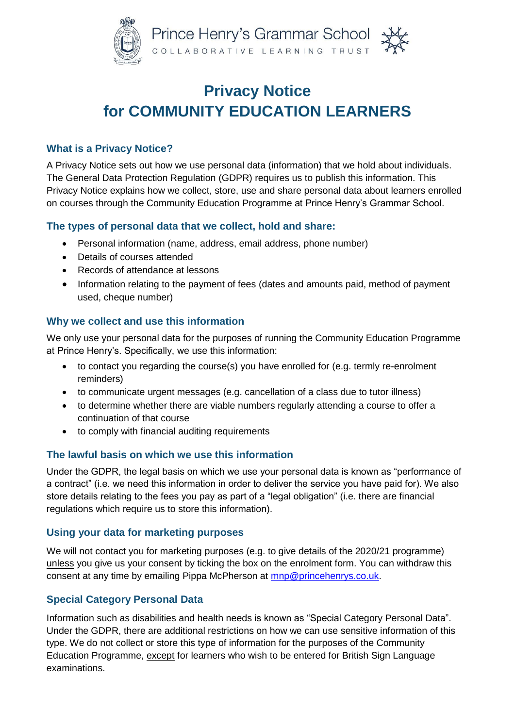

# **Privacy Notice for COMMUNITY EDUCATION LEARNERS**

# **What is a Privacy Notice?**

A Privacy Notice sets out how we use personal data (information) that we hold about individuals. The General Data Protection Regulation (GDPR) requires us to publish this information. This Privacy Notice explains how we collect, store, use and share personal data about learners enrolled on courses through the Community Education Programme at Prince Henry's Grammar School.

### **The types of personal data that we collect, hold and share:**

- Personal information (name, address, email address, phone number)
- Details of courses attended
- Records of attendance at lessons
- Information relating to the payment of fees (dates and amounts paid, method of payment used, cheque number)

# **Why we collect and use this information**

We only use your personal data for the purposes of running the Community Education Programme at Prince Henry's. Specifically, we use this information:

- to contact you regarding the course(s) you have enrolled for (e.g. termly re-enrolment reminders)
- to communicate urgent messages (e.g. cancellation of a class due to tutor illness)
- to determine whether there are viable numbers regularly attending a course to offer a continuation of that course
- to comply with financial auditing requirements

# **The lawful basis on which we use this information**

Under the GDPR, the legal basis on which we use your personal data is known as "performance of a contract" (i.e. we need this information in order to deliver the service you have paid for). We also store details relating to the fees you pay as part of a "legal obligation" (i.e. there are financial regulations which require us to store this information).

# **Using your data for marketing purposes**

We will not contact you for marketing purposes (e.g. to give details of the 2020/21 programme) unless you give us your consent by ticking the box on the enrolment form. You can withdraw this consent at any time by emailing Pippa McPherson at [mnp@princehenrys.co.uk.](mailto:mnp@princehenrys.co.uk)

# **Special Category Personal Data**

Information such as disabilities and health needs is known as "Special Category Personal Data". Under the GDPR, there are additional restrictions on how we can use sensitive information of this type. We do not collect or store this type of information for the purposes of the Community Education Programme, except for learners who wish to be entered for British Sign Language examinations.